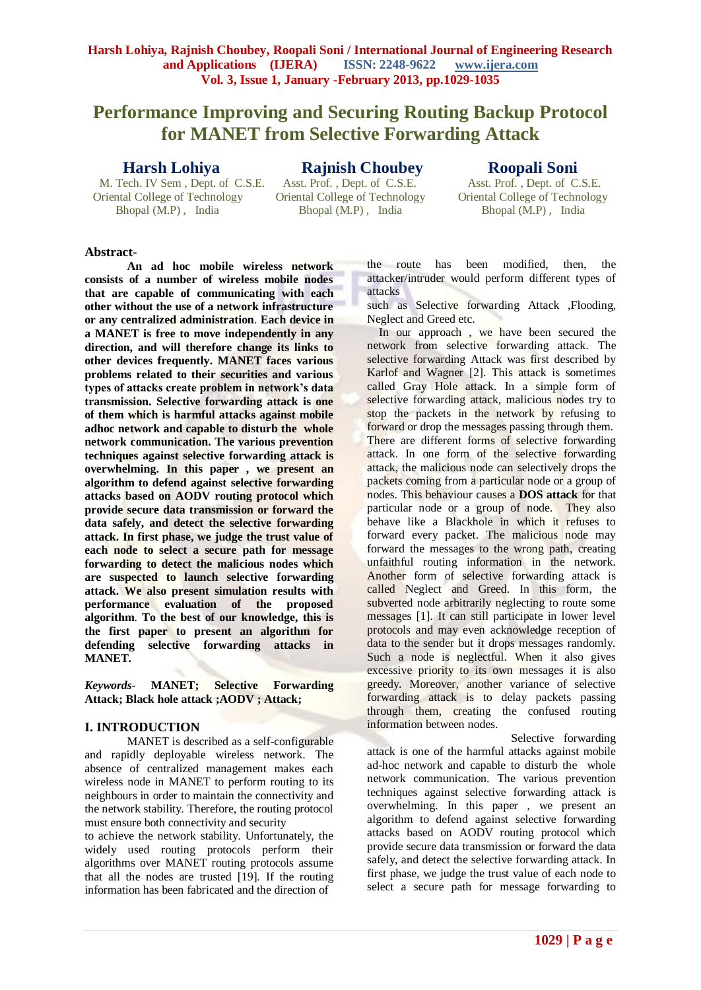# **Performance Improving and Securing Routing Backup Protocol for MANET from Selective Forwarding Attack**

# **Harsh Lohiya**

M. Tech. IV Sem, Dept. of C.S.E. Oriental College of Technology<br>
Bhopal (M.P), India<br>
Bhopal (M.P), India Bhopal (M.P), India Bhopal (M.P), India Bhopal (M.P), India

**Rajnish Choubey Roopali Soni**<br>Asst. Prof. , Dept. of C.S.E. Asst. Prof. , Dept. of C.

Asst. Prof., Dept. of C.S.E.<br>Oriental College of Technology

# **Abstract-**

**An ad hoc mobile wireless network consists of a number of wireless mobile nodes that are capable of communicating with each other without the use of a network infrastructure or any centralized administration**. **Each device in a MANET is free to move independently in any direction, and will therefore change its links to other devices frequently. MANET faces various problems related to their securities and various types of attacks create problem in network's data transmission. Selective forwarding attack is one of them which is harmful attacks against mobile adhoc network and capable to disturb the whole network communication. The various prevention techniques against selective forwarding attack is overwhelming. In this paper , we present an algorithm to defend against selective forwarding attacks based on AODV routing protocol which provide secure data transmission or forward the data safely, and detect the selective forwarding attack. In first phase, we judge the trust value of each node to select a secure path for message forwarding to detect the malicious nodes which are suspected to launch selective forwarding attack. We also present simulation results with performance evaluation of the proposed algorithm**. **To the best of our knowledge, this is the first paper to present an algorithm for defending selective forwarding attacks in MANET.**

*Keywords-* **MANET; Selective Forwarding Attack; Black hole attack ;AODV ; Attack;**

# **I. INTRODUCTION**

MANET is described as a self-configurable and rapidly deployable wireless network. The absence of centralized management makes each wireless node in MANET to perform routing to its neighbours in order to maintain the connectivity and the network stability. Therefore, the routing protocol must ensure both connectivity and security

to achieve the network stability. Unfortunately, the widely used routing protocols perform their algorithms over MANET routing protocols assume that all the nodes are trusted [19]. If the routing information has been fabricated and the direction of

the route has been modified, then, the attacker/intruder would perform different types of attacks

such as Selective forwarding Attack ,Flooding, Neglect and Greed etc.

In our approach, we have been secured the network from selective forwarding attack. The selective forwarding Attack was first described by Karlof and Wagner [2]. This attack is sometimes called Gray Hole attack. In a simple form of selective forwarding attack, malicious nodes try to stop the packets in the network by refusing to forward or drop the messages passing through them. There are different forms of selective forwarding attack. In one form of the selective forwarding attack, the malicious node can selectively drops the packets coming from a particular node or a group of nodes. This behaviour causes a **DOS attack** for that particular node or a group of node. They also behave like a Blackhole in which it refuses to forward every packet. The malicious node may forward the messages to the wrong path, creating unfaithful routing information in the network. Another form of selective forwarding attack is called Neglect and Greed. In this form, the subverted node arbitrarily neglecting to route some messages [1]. It can still participate in lower level protocols and may even acknowledge reception of data to the sender but it drops messages randomly. Such a node is neglectful. When it also gives excessive priority to its own messages it is also greedy. Moreover, another variance of selective forwarding attack is to delay packets passing through them, creating the confused routing information between nodes.

 Selective forwarding attack is one of the harmful attacks against mobile ad-hoc network and capable to disturb the whole network communication. The various prevention techniques against selective forwarding attack is overwhelming. In this paper , we present an algorithm to defend against selective forwarding attacks based on AODV routing protocol which provide secure data transmission or forward the data safely, and detect the selective forwarding attack. In first phase, we judge the trust value of each node to select a secure path for message forwarding to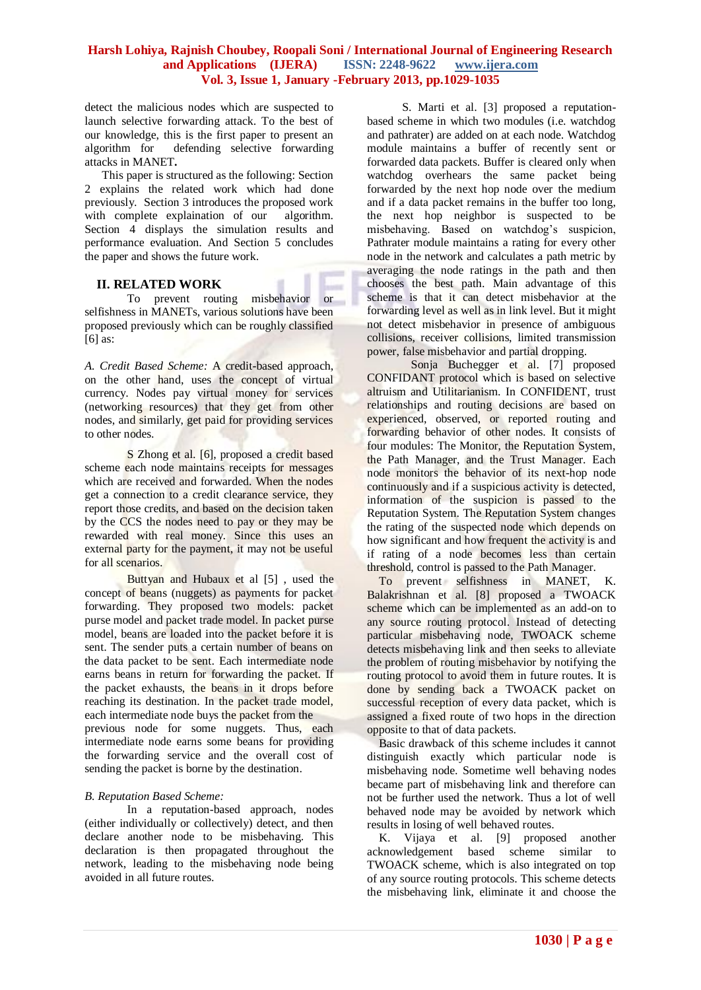detect the malicious nodes which are suspected to launch selective forwarding attack. To the best of our knowledge, this is the first paper to present an algorithm for defending selective forwarding attacks in MANET**.**

 This paper is structured as the following: Section 2 explains the related work which had done previously. Section 3 introduces the proposed work with complete explaination of our algorithm. Section 4 displays the simulation results and performance evaluation. And Section 5 concludes the paper and shows the future work.

# **II. RELATED WORK**

To prevent routing misbehavior or selfishness in MANETs, various solutions have been proposed previously which can be roughly classified [6] as:

*A. Credit Based Scheme:* A credit-based approach, on the other hand, uses the concept of virtual currency. Nodes pay virtual money for services (networking resources) that they get from other nodes, and similarly, get paid for providing services to other nodes.

S Zhong et al. [6], proposed a credit based scheme each node maintains receipts for messages which are received and forwarded. When the nodes get a connection to a credit clearance service, they report those credits, and based on the decision taken by the CCS the nodes need to pay or they may be rewarded with real money. Since this uses an external party for the payment, it may not be useful for all scenarios.

Buttyan and Hubaux et al [5] , used the concept of beans (nuggets) as payments for packet forwarding. They proposed two models: packet purse model and packet trade model. In packet purse model, beans are loaded into the packet before it is sent. The sender puts a certain number of beans on the data packet to be sent. Each intermediate node earns beans in return for forwarding the packet. If the packet exhausts, the beans in it drops before reaching its destination. In the packet trade model, each intermediate node buys the packet from the previous node for some nuggets. Thus, each intermediate node earns some beans for providing the forwarding service and the overall cost of sending the packet is borne by the destination.

#### *B. Reputation Based Scheme:*

In a reputation-based approach, nodes (either individually or collectively) detect, and then declare another node to be misbehaving. This declaration is then propagated throughout the network, leading to the misbehaving node being avoided in all future routes.

 S. Marti et al. [3] proposed a reputationbased scheme in which two modules (i.e. watchdog and pathrater) are added on at each node. Watchdog module maintains a buffer of recently sent or forwarded data packets. Buffer is cleared only when watchdog overhears the same packet being forwarded by the next hop node over the medium and if a data packet remains in the buffer too long, the next hop neighbor is suspected to be misbehaving. Based on watchdog's suspicion, Pathrater module maintains a rating for every other node in the network and calculates a path metric by averaging the node ratings in the path and then chooses the best path. Main advantage of this scheme is that it can detect misbehavior at the forwarding level as well as in link level. But it might not detect misbehavior in presence of ambiguous collisions, receiver collisions, limited transmission power, false misbehavior and partial dropping.

 Sonja Buchegger et al. [7] proposed CONFIDANT protocol which is based on selective altruism and Utilitarianism. In CONFIDENT, trust relationships and routing decisions are based on experienced, observed, or reported routing and forwarding behavior of other nodes. It consists of four modules: The Monitor, the Reputation System, the Path Manager, and the Trust Manager. Each node monitors the behavior of its next-hop node continuously and if a suspicious activity is detected, information of the suspicion is passed to the Reputation System. The Reputation System changes the rating of the suspected node which depends on how significant and how frequent the activity is and if rating of a node becomes less than certain threshold, control is passed to the Path Manager.

To prevent selfishness in MANET, K. Balakrishnan et al. [8] proposed a TWOACK scheme which can be implemented as an add-on to any source routing protocol. Instead of detecting particular misbehaving node, TWOACK scheme detects misbehaving link and then seeks to alleviate the problem of routing misbehavior by notifying the routing protocol to avoid them in future routes. It is done by sending back a TWOACK packet on successful reception of every data packet, which is assigned a fixed route of two hops in the direction opposite to that of data packets.

Basic drawback of this scheme includes it cannot distinguish exactly which particular node is misbehaving node. Sometime well behaving nodes became part of misbehaving link and therefore can not be further used the network. Thus a lot of well behaved node may be avoided by network which results in losing of well behaved routes.

K. Vijaya et al. [9] proposed another acknowledgement based scheme similar to TWOACK scheme, which is also integrated on top of any source routing protocols. This scheme detects the misbehaving link, eliminate it and choose the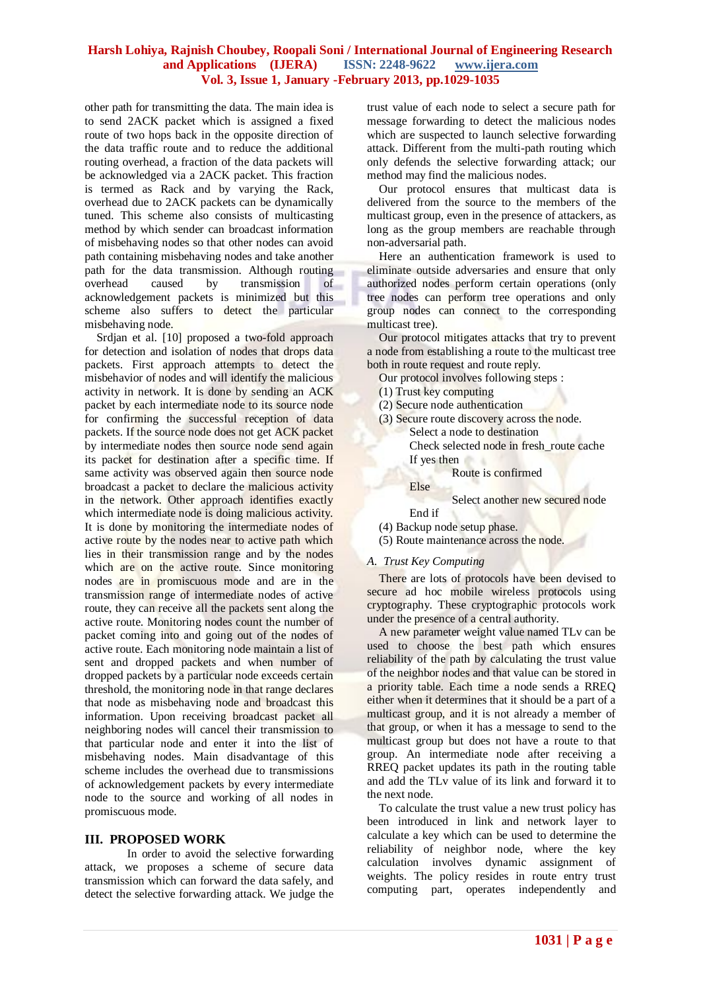other path for transmitting the data. The main idea is to send 2ACK packet which is assigned a fixed route of two hops back in the opposite direction of the data traffic route and to reduce the additional routing overhead, a fraction of the data packets will be acknowledged via a 2ACK packet. This fraction is termed as Rack and by varying the Rack, overhead due to 2ACK packets can be dynamically tuned. This scheme also consists of multicasting method by which sender can broadcast information of misbehaving nodes so that other nodes can avoid path containing misbehaving nodes and take another path for the data transmission. Although routing overhead caused by transmission of acknowledgement packets is minimized but this scheme also suffers to detect the particular misbehaving node.

Srdjan et al. [10] proposed a two-fold approach for detection and isolation of nodes that drops data packets. First approach attempts to detect the misbehavior of nodes and will identify the malicious activity in network. It is done by sending an ACK packet by each intermediate node to its source node for confirming the successful reception of data packets. If the source node does not get ACK packet by intermediate nodes then source node send again its packet for destination after a specific time. If same activity was observed again then source node broadcast a packet to declare the malicious activity in the network. Other approach identifies exactly which intermediate node is doing malicious activity. It is done by monitoring the intermediate nodes of active route by the nodes near to active path which lies in their transmission range and by the nodes which are on the active route. Since monitoring nodes are in promiscuous mode and are in the transmission range of intermediate nodes of active route, they can receive all the packets sent along the active route. Monitoring nodes count the number of packet coming into and going out of the nodes of active route. Each monitoring node maintain a list of sent and dropped packets and when number of dropped packets by a particular node exceeds certain threshold, the monitoring node in that range declares that node as misbehaving node and broadcast this information. Upon receiving broadcast packet all neighboring nodes will cancel their transmission to that particular node and enter it into the list of misbehaving nodes. Main disadvantage of this scheme includes the overhead due to transmissions of acknowledgement packets by every intermediate node to the source and working of all nodes in promiscuous mode.

#### **III. PROPOSED WORK**

In order to avoid the selective forwarding attack, we proposes a scheme of secure data transmission which can forward the data safely, and detect the selective forwarding attack. We judge the trust value of each node to select a secure path for message forwarding to detect the malicious nodes which are suspected to launch selective forwarding attack. Different from the multi-path routing which only defends the selective forwarding attack; our method may find the malicious nodes.

Our protocol ensures that multicast data is delivered from the source to the members of the multicast group, even in the presence of attackers, as long as the group members are reachable through non-adversarial path.

Here an authentication framework is used to eliminate outside adversaries and ensure that only authorized nodes perform certain operations (only tree nodes can perform tree operations and only group nodes can connect to the corresponding multicast tree).

Our protocol mitigates attacks that try to prevent a node from establishing a route to the multicast tree both in route request and route reply.

Our protocol involves following steps :

- (1) Trust key computing
- (2) Secure node authentication
- (3) Secure route discovery across the node.

Select a node to destination

Check selected node in fresh\_route cache If yes then

Route is confirmed

# Else

Select another new secured node

- End if
- (4) Backup node setup phase.
- (5) Route maintenance across the node.

# *A. Trust Key Computing*

There are lots of protocols have been devised to secure ad hoc mobile wireless protocols using cryptography. These cryptographic protocols work under the presence of a central authority.

A new parameter weight value named TLv can be used to choose the best path which ensures reliability of the path by calculating the trust value of the neighbor nodes and that value can be stored in a priority table. Each time a node sends a RREQ either when it determines that it should be a part of a multicast group, and it is not already a member of that group, or when it has a message to send to the multicast group but does not have a route to that group. An intermediate node after receiving a RREQ packet updates its path in the routing table and add the TLv value of its link and forward it to the next node.

To calculate the trust value a new trust policy has been introduced in link and network layer to calculate a key which can be used to determine the reliability of neighbor node, where the key calculation involves dynamic assignment of weights. The policy resides in route entry trust computing part, operates independently and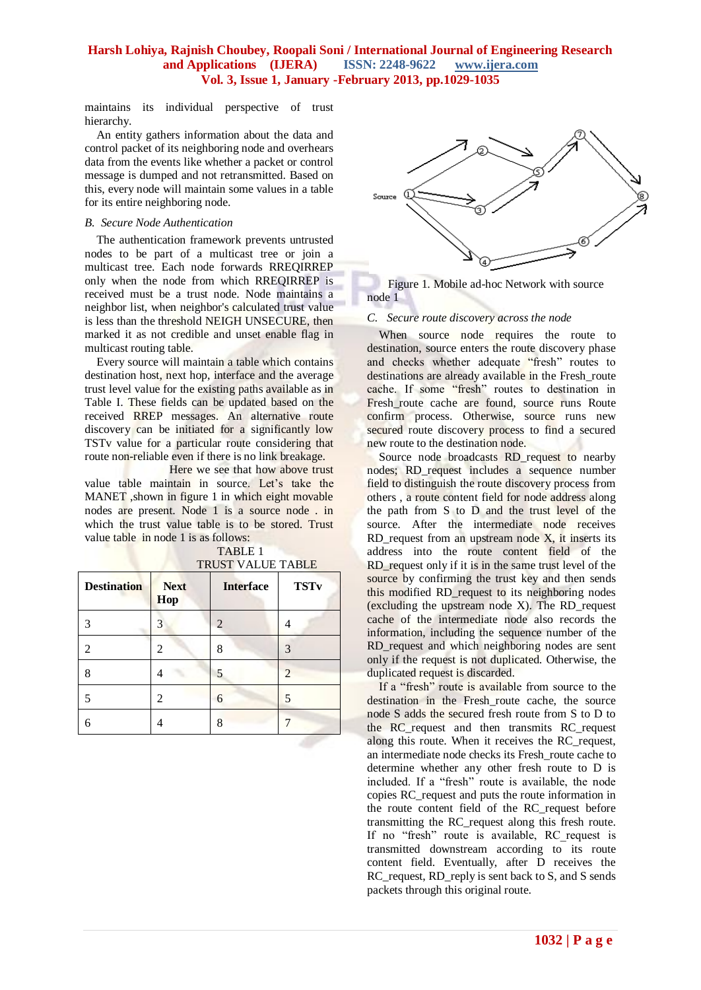maintains its individual perspective of trust hierarchy.

An entity gathers information about the data and control packet of its neighboring node and overhears data from the events like whether a packet or control message is dumped and not retransmitted. Based on this, every node will maintain some values in a table for its entire neighboring node.

#### *B. Secure Node Authentication*

The authentication framework prevents untrusted nodes to be part of a multicast tree or join a multicast tree. Each node forwards RREQIRREP only when the node from which RREQIRREP is received must be a trust node. Node maintains a neighbor list, when neighbor's calculated trust value is less than the threshold NEIGH UNSECURE, then marked it as not credible and unset enable flag in multicast routing table.

Every source will maintain a table which contains destination host, next hop, interface and the average trust level value for the existing paths available as in Table I. These fields can be updated based on the received RREP messages. An alternative route discovery can be initiated for a significantly low TSTv value for a particular route considering that route non-reliable even if there is no link breakage.

Here we see that how above trust value table maintain in source. Let's take the MANET, shown in figure 1 in which eight movable nodes are present. Node 1 is a source node . in which the trust value table is to be stored. Trust value table in node 1 is as follows:

| <b>Destination</b> | <b>Next</b><br>Hop | <b>Interface</b> | <b>TSTv</b>    |
|--------------------|--------------------|------------------|----------------|
| 3                  | 3                  | 2                |                |
| 2                  |                    | 8                | 3              |
| 8                  |                    | 5                | $\overline{2}$ |
| 5                  | 2                  | 6                | 5              |
|                    |                    | 8                |                |

 TABLE 1 TDUST VALUE TABLE



 Figure 1. Mobile ad-hoc Network with source node 1

#### *C. Secure route discovery across the node*

When source node requires the route to destination, source enters the route discovery phase and checks whether adequate "fresh" routes to destinations are already available in the Fresh route cache. If some "fresh" routes to destination in Fresh\_route cache are found, source runs Route confirm process. Otherwise, source runs new secured route discovery process to find a secured new route to the destination node.

Source node broadcasts RD\_request to nearby nodes; RD\_request includes a sequence number field to distinguish the route discovery process from others , a route content field for node address along the path from S to D and the trust level of the source. After the intermediate node receives RD request from an upstream node  $X$ , it inserts its address into the route content field of the RD request only if it is in the same trust level of the source by confirming the trust key and then sends this modified RD\_request to its neighboring nodes (excluding the upstream node X). The RD\_request cache of the intermediate node also records the information, including the sequence number of the RD\_request and which neighboring nodes are sent only if the request is not duplicated. Otherwise, the duplicated request is discarded.

If a "fresh" route is available from source to the destination in the Fresh route cache, the source node S adds the secured fresh route from S to D to the RC\_request and then transmits RC\_request along this route. When it receives the RC\_request, an intermediate node checks its Fresh\_route cache to determine whether any other fresh route to D is included. If a "fresh" route is available, the node copies RC\_request and puts the route information in the route content field of the RC\_request before transmitting the RC\_request along this fresh route. If no "fresh" route is available, RC request is transmitted downstream according to its route content field. Eventually, after D receives the RC\_request, RD\_reply is sent back to S, and S sends packets through this original route.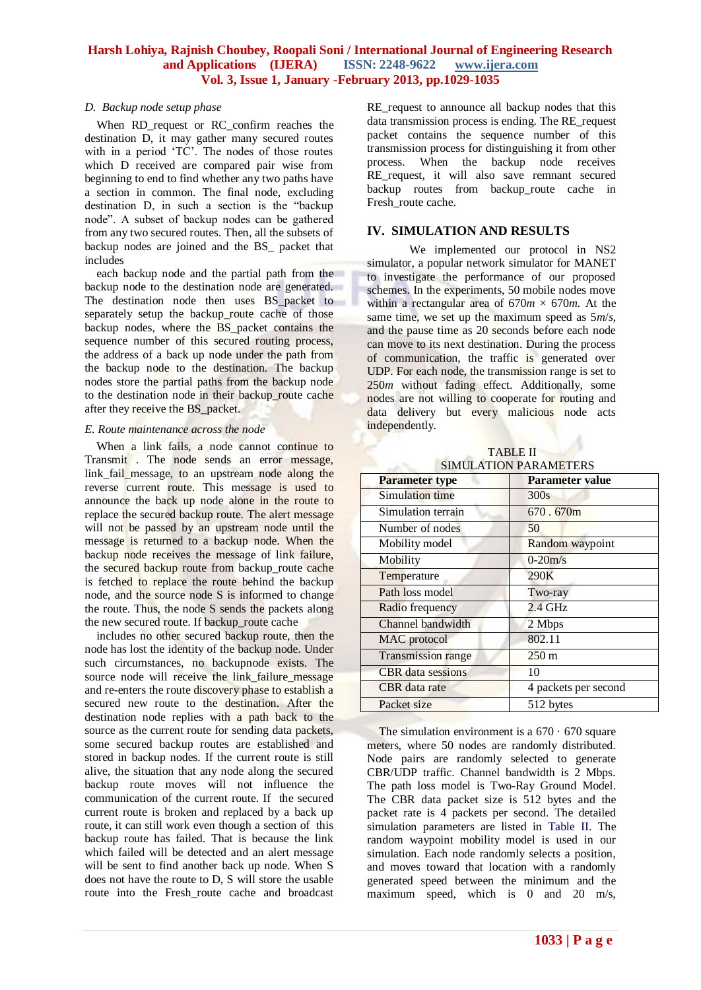#### *D. Backup node setup phase*

When RD request or RC confirm reaches the destination D, it may gather many secured routes with in a period "TC". The nodes of those routes which D received are compared pair wise from beginning to end to find whether any two paths have a section in common. The final node, excluding destination D, in such a section is the "backup node". A subset of backup nodes can be gathered from any two secured routes. Then, all the subsets of backup nodes are joined and the BS\_ packet that includes

each backup node and the partial path from the backup node to the destination node are generated. The destination node then uses BS\_packet to separately setup the backup\_route cache of those backup nodes, where the BS\_packet contains the sequence number of this secured routing process, the address of a back up node under the path from the backup node to the destination. The backup nodes store the partial paths from the backup node to the destination node in their backup\_route cache after they receive the BS\_packet.

#### *E. Route maintenance across the node*

When a link fails, a node cannot continue to Transmit . The node sends an error message, link fail message, to an upstream node along the reverse current route. This message is used to announce the back up node alone in the route to replace the secured backup route. The alert message will not be passed by an upstream node until the message is returned to a backup node. When the backup node receives the message of link failure, the secured backup route from backup route cache is fetched to replace the route behind the backup node, and the source node S is informed to change the route. Thus, the node S sends the packets along the new secured route. If backup\_route cache

includes no other secured backup route, then the node has lost the identity of the backup node. Under such circumstances, no backupnode exists. The source node will receive the link failure message and re-enters the route discovery phase to establish a secured new route to the destination. After the destination node replies with a path back to the source as the current route for sending data packets, some secured backup routes are established and stored in backup nodes. If the current route is still alive, the situation that any node along the secured backup route moves will not influence the communication of the current route. If the secured current route is broken and replaced by a back up route, it can still work even though a section of this backup route has failed. That is because the link which failed will be detected and an alert message will be sent to find another back up node. When S does not have the route to D, S will store the usable route into the Fresh\_route cache and broadcast

RE\_request to announce all backup nodes that this data transmission process is ending. The RE\_request packet contains the sequence number of this transmission process for distinguishing it from other process. When the backup node receives RE request, it will also save remnant secured backup routes from backup route cache in Fresh route cache.

### **IV. SIMULATION AND RESULTS**

We implemented our protocol in NS2 simulator, a popular network simulator for MANET to investigate the performance of our proposed schemes. In the experiments, 50 mobile nodes move within a rectangular area of  $670m \times 670m$ . At the same time, we set up the maximum speed as 5*m*/*s*, and the pause time as 20 seconds before each node can move to its next destination. During the process of communication, the traffic is generated over UDP. For each node, the transmission range is set to 250*m* without fading effect. Additionally, some nodes are not willing to cooperate for routing and data delivery but every malicious node acts independently.

| <b>TABLE II</b>       |
|-----------------------|
| SIMULATION PARAMETERS |

sа

| <b>Parameter type</b>    | <b>Parameter value</b> |  |
|--------------------------|------------------------|--|
| Simulation time          | 300s                   |  |
| Simulation terrain       | 670.670m               |  |
| Number of nodes          | 50                     |  |
| Mobility model           | Random waypoint        |  |
| Mobility                 | $0-20m/s$              |  |
| Temperature              | 290K                   |  |
| Path loss model          | Two-ray                |  |
| Radio frequency          | $2.4$ GHz              |  |
| Channel bandwidth        | 2 Mbps                 |  |
| MAC protocol             | 802.11                 |  |
| Transmission range       | $250 \text{ m}$        |  |
| <b>CBR</b> data sessions | 10                     |  |
| CBR data rate            | 4 packets per second   |  |
| Packet size              | 512 bytes              |  |

The simulation environment is a  $670 \cdot 670$  square meters, where 50 nodes are randomly distributed. Node pairs are randomly selected to generate CBR/UDP traffic. Channel bandwidth is 2 Mbps. The path loss model is Two-Ray Ground Model. The CBR data packet size is 512 bytes and the packet rate is 4 packets per second. The detailed simulation parameters are listed in Table II. The random waypoint mobility model is used in our simulation. Each node randomly selects a position, and moves toward that location with a randomly generated speed between the minimum and the maximum speed, which is 0 and 20 m/s,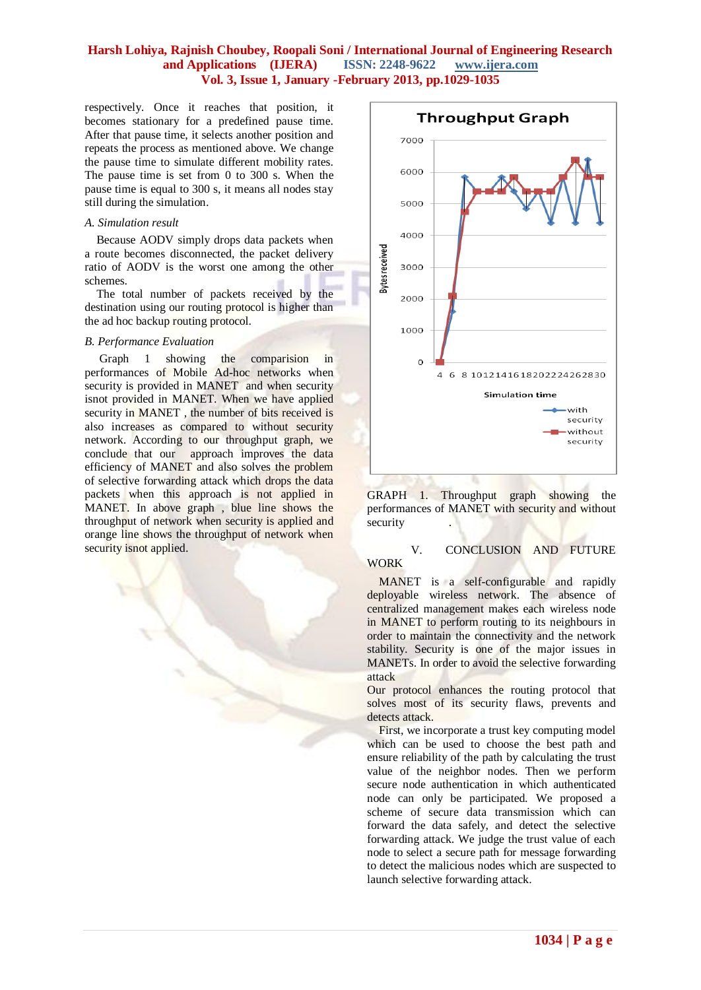respectively. Once it reaches that position, it becomes stationary for a predefined pause time. After that pause time, it selects another position and repeats the process as mentioned above. We change the pause time to simulate different mobility rates. The pause time is set from 0 to 300 s. When the pause time is equal to 300 s, it means all nodes stay still during the simulation.

#### *A. Simulation result*

Because AODV simply drops data packets when a route becomes disconnected, the packet delivery ratio of AODV is the worst one among the other schemes.

The total number of packets received by the destination using our routing protocol is higher than the ad hoc backup routing protocol.

#### *B. Performance Evaluation*

Graph 1 showing the comparision in performances of Mobile Ad-hoc networks when security is provided in MANET and when security isnot provided in MANET. When we have applied security in MANET, the number of bits received is also increases as compared to without security network. According to our throughput graph, we conclude that our approach improves the data efficiency of MANET and also solves the problem of selective forwarding attack which drops the data packets when this approach is not applied in MANET. In above graph , blue line shows the throughput of network when security is applied and orange line shows the throughput of network when security isnot applied.



GRAPH 1. Throughput graph showing the performances of MANET with security and without security

# V. CONCLUSION AND FUTURE WORK

MANET is a self-configurable and rapidly deployable wireless network. The absence of centralized management makes each wireless node in MANET to perform routing to its neighbours in order to maintain the connectivity and the network stability. Security is one of the major issues in MANETs. In order to avoid the selective forwarding attack

Our protocol enhances the routing protocol that solves most of its security flaws, prevents and detects attack.

First, we incorporate a trust key computing model which can be used to choose the best path and ensure reliability of the path by calculating the trust value of the neighbor nodes. Then we perform secure node authentication in which authenticated node can only be participated. We proposed a scheme of secure data transmission which can forward the data safely, and detect the selective forwarding attack. We judge the trust value of each node to select a secure path for message forwarding to detect the malicious nodes which are suspected to launch selective forwarding attack.